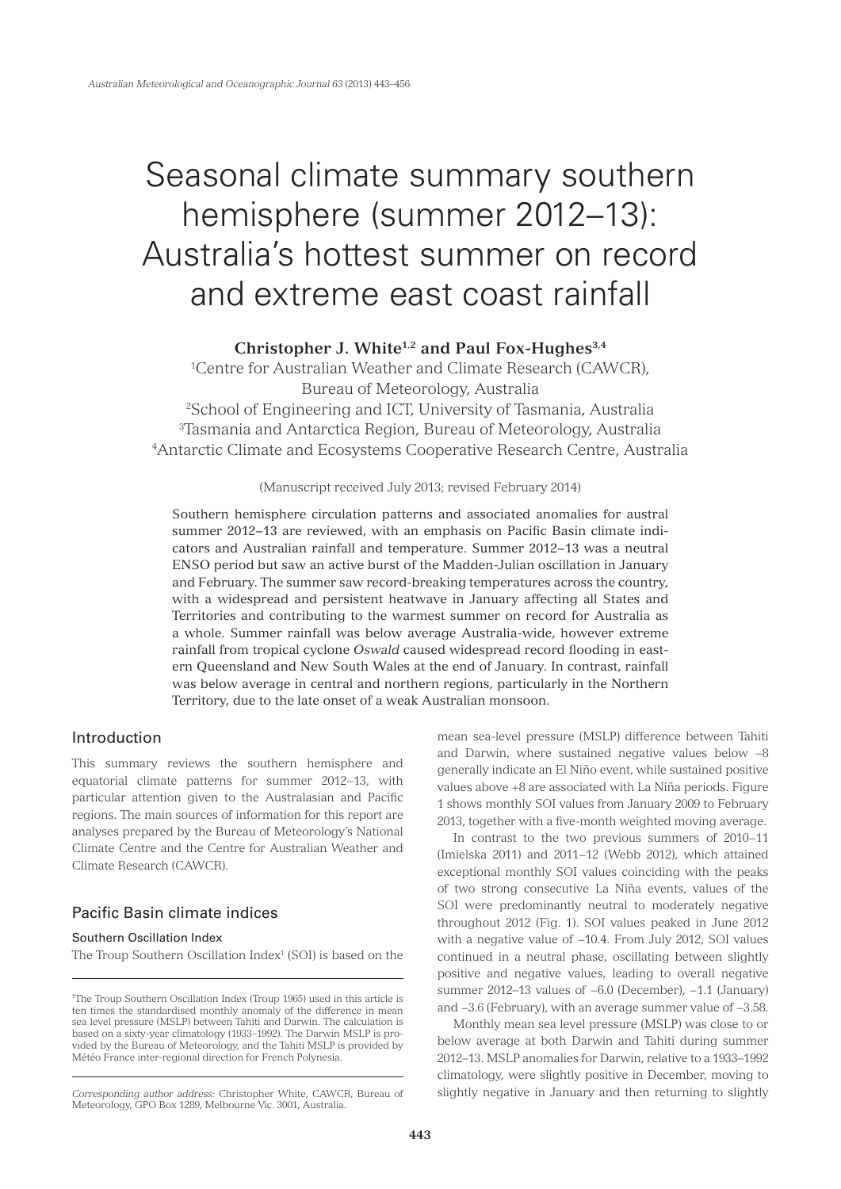# Seasonal climate summary southern hemisphere (summer 2012–13): Australia's hottest summer on record and extreme east coast rainfall

**Christopher J. White1,2 and Paul Fox-Hughes3,4**

1 Centre for Australian Weather and Climate Research (CAWCR), Bureau of Meteorology, Australia

2 School of Engineering and ICT, University of Tasmania, Australia 3 Tasmania and Antarctica Region, Bureau of Meteorology, Australia 4 Antarctic Climate and Ecosystems Cooperative Research Centre, Australia

## (Manuscript received July 2013; revised February 2014)

Southern hemisphere circulation patterns and associated anomalies for austral summer 2012−13 are reviewed, with an emphasis on Pacific Basin climate indicators and Australian rainfall and temperature. Summer 2012−13 was a neutral ENSO period but saw an active burst of the Madden-Julian oscillation in January and February. The summer saw record-breaking temperatures across the country, with a widespread and persistent heatwave in January affecting all States and Territories and contributing to the warmest summer on record for Australia as a whole. Summer rainfall was below average Australia-wide, however extreme rainfall from tropical cyclone *Oswald* caused widespread record flooding in eastern Queensland and New South Wales at the end of January. In contrast, rainfall was below average in central and northern regions, particularly in the Northern Territory, due to the late onset of a weak Australian monsoon.

# Introduction

This summary reviews the southern hemisphere and equatorial climate patterns for summer 2012−13, with particular attention given to the Australasian and Pacific regions. The main sources of information for this report are analyses prepared by the Bureau of Meteorology's National Climate Centre and the Centre for Australian Weather and Climate Research (CAWCR).

# Pacific Basin climate indices

# Southern Oscillation Index

The Troup Southern Oscillation Index<sup>1</sup> (SOI) is based on the

mean sea-level pressure (MSLP) difference between Tahiti and Darwin, where sustained negative values below −8 generally indicate an El Niño event, while sustained positive values above +8 are associated with La Niña periods. Figure 1 shows monthly SOI values from January 2009 to February 2013, together with a five-month weighted moving average.

In contrast to the two previous summers of 2010−11 (Imielska 2011) and 2011−12 (Webb 2012), which attained exceptional monthly SOI values coinciding with the peaks of two strong consecutive La Niña events, values of the SOI were predominantly neutral to moderately negative throughout 2012 (Fig. 1). SOI values peaked in June 2012 with a negative value of −10.4. From July 2012, SOI values continued in a neutral phase, oscillating between slightly positive and negative values, leading to overall negative summer 2012–13 values of −6.0 (December), −1.1 (January) and −3.6 (February), with an average summer value of −3.58.

Monthly mean sea level pressure (MSLP) was close to or below average at both Darwin and Tahiti during summer 2012–13. MSLP anomalies for Darwin, relative to a 1933–1992 climatology, were slightly positive in December, moving to *Corresponding author address:* Christopher White, CAWCR, Bureau of slightly negative in January and then returning to slightly

<sup>&</sup>lt;sup>1</sup>The Troup Southern Oscillation Index (Troup 1965) used in this article is ten times the standardised monthly anomaly of the difference in mean sea level pressure (MSLP) between Tahiti and Darwin. The calculation is based on a sixty-year climatology (1933–1992). The Darwin MSLP is provided by the Bureau of Meteorology, and the Tahiti MSLP is provided by Météo France inter-regional direction for French Polynesia.

Meteorology, GPO Box 1289, Melbourne Vic. 3001, Australia.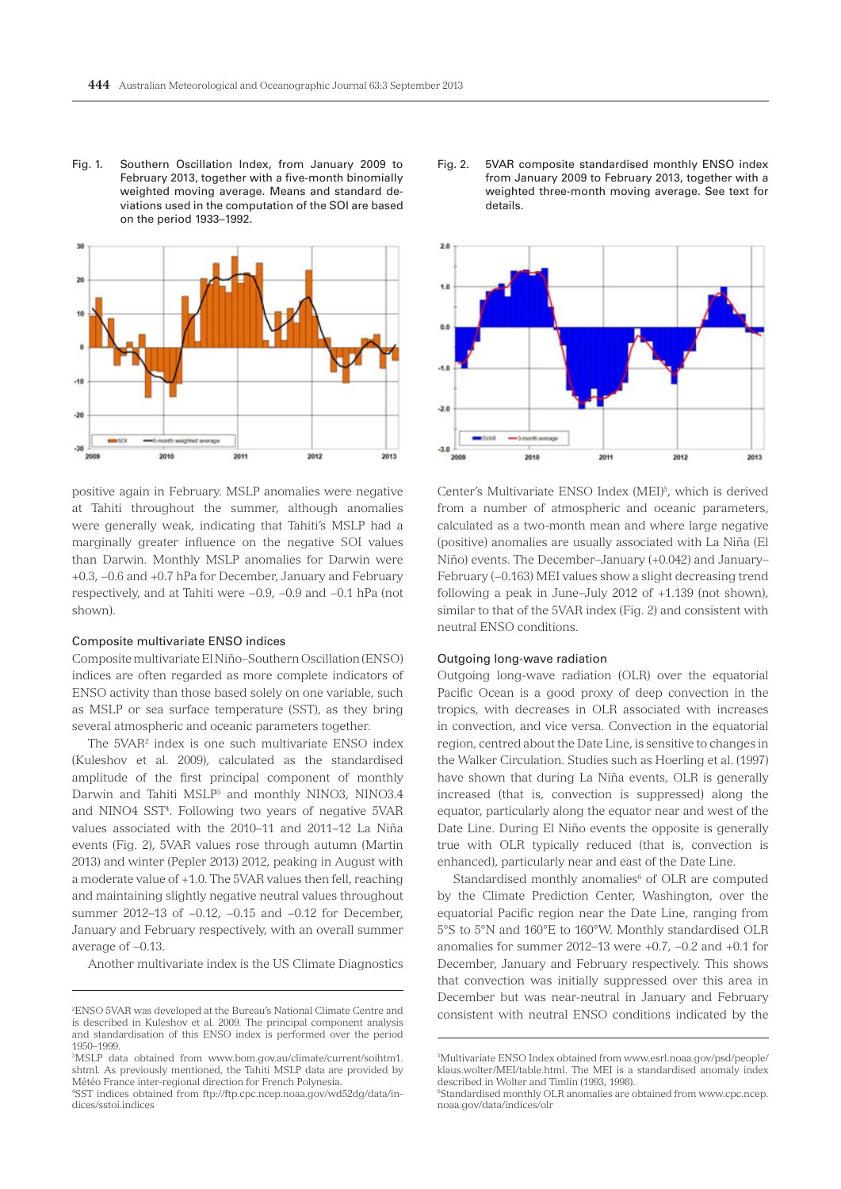Fig. 1. Southern Oscillation Index, from January 2009 to February 2013, together with a five-month binomially weighted moving average. Means and standard deviations used in the computation of the SOI are based on the period 1933–1992.



positive again in February. MSLP anomalies were negative at Tahiti throughout the summer, although anomalies were generally weak, indicating that Tahiti's MSLP had a marginally greater influence on the negative SOI values than Darwin. Monthly MSLP anomalies for Darwin were +0.3, −0.6 and +0.7 hPa for December, January and February respectively, and at Tahiti were −0.9, −0.9 and −0.1 hPa (not shown).

## Composite multivariate ENSO indices

Composite multivariate El Niño–Southern Oscillation (ENSO) indices are often regarded as more complete indicators of ENSO activity than those based solely on one variable, such as MSLP or sea surface temperature (SST), as they bring several atmospheric and oceanic parameters together.

The 5VAR2 index is one such multivariate ENSO index (Kuleshov et al. 2009), calculated as the standardised amplitude of the first principal component of monthly Darwin and Tahiti MSLP<sup>3</sup> and monthly NINO3, NINO3.4 and NINO4 SST4 . Following two years of negative 5VAR values associated with the 2010–11 and 2011–12 La Niña events (Fig. 2), 5VAR values rose through autumn (Martin 2013) and winter (Pepler 2013) 2012, peaking in August with a moderate value of +1.0. The 5VAR values then fell, reaching and maintaining slightly negative neutral values throughout summer 2012–13 of −0.12, −0.15 and −0.12 for December, January and February respectively, with an overall summer average of −0.13.

Another multivariate index is the US Climate Diagnostics

Fig. 2. 5VAR composite standardised monthly ENSO index from January 2009 to February 2013, together with a weighted three-month moving average. See text for details.



Center's Multivariate ENSO Index (MEI)<sup>5</sup>, which is derived from a number of atmospheric and oceanic parameters, calculated as a two-month mean and where large negative (positive) anomalies are usually associated with La Niña (El Niño) events. The December–January (+0.042) and January– February (−0.163) MEI values show a slight decreasing trend following a peak in June–July 2012 of +1.139 (not shown), similar to that of the 5VAR index (Fig. 2) and consistent with neutral ENSO conditions.

## Outgoing long-wave radiation

Outgoing long-wave radiation (OLR) over the equatorial Pacific Ocean is a good proxy of deep convection in the tropics, with decreases in OLR associated with increases in convection, and vice versa. Convection in the equatorial region, centred about the Date Line, is sensitive to changes in the Walker Circulation. Studies such as Hoerling et al. (1997) have shown that during La Niña events, OLR is generally increased (that is, convection is suppressed) along the equator, particularly along the equator near and west of the Date Line. During El Niño events the opposite is generally true with OLR typically reduced (that is, convection is enhanced), particularly near and east of the Date Line.

Standardised monthly anomalies<sup>6</sup> of OLR are computed by the Climate Prediction Center, Washington, over the equatorial Pacific region near the Date Line, ranging from 5°S to 5°N and 160°E to 160°W. Monthly standardised OLR anomalies for summer 2012–13 were +0.7, −0.2 and +0.1 for December, January and February respectively. This shows that convection was initially suppressed over this area in December but was near-neutral in January and February consistent with neutral ENSO conditions indicated by the

<sup>2</sup> ENSO 5VAR was developed at the Bureau's National Climate Centre and is described in Kuleshov et al. 2009. The principal component analysis and standardisation of this ENSO index is performed over the period 1950–1999.

<sup>3</sup> MSLP data obtained from www.bom.gov.au/climate/current/soihtm1. shtml. As previously mentioned, the Tahiti MSLP data are provided by Météo France inter-regional direction for French Polynesia.

<sup>4</sup> SST indices obtained from ftp://ftp.cpc.ncep.noaa.gov/wd52dg/data/indices/sstoi.indices

<sup>5</sup> Multivariate ENSO Index obtained from www.esrl.noaa.gov/psd/people/ klaus.wolter/MEI/table.html. The MEI is a standardised anomaly index described in Wolter and Timlin (1993, 1998).

<sup>6</sup> Standardised monthly OLR anomalies are obtained from www.cpc.ncep. noaa.gov/data/indices/olr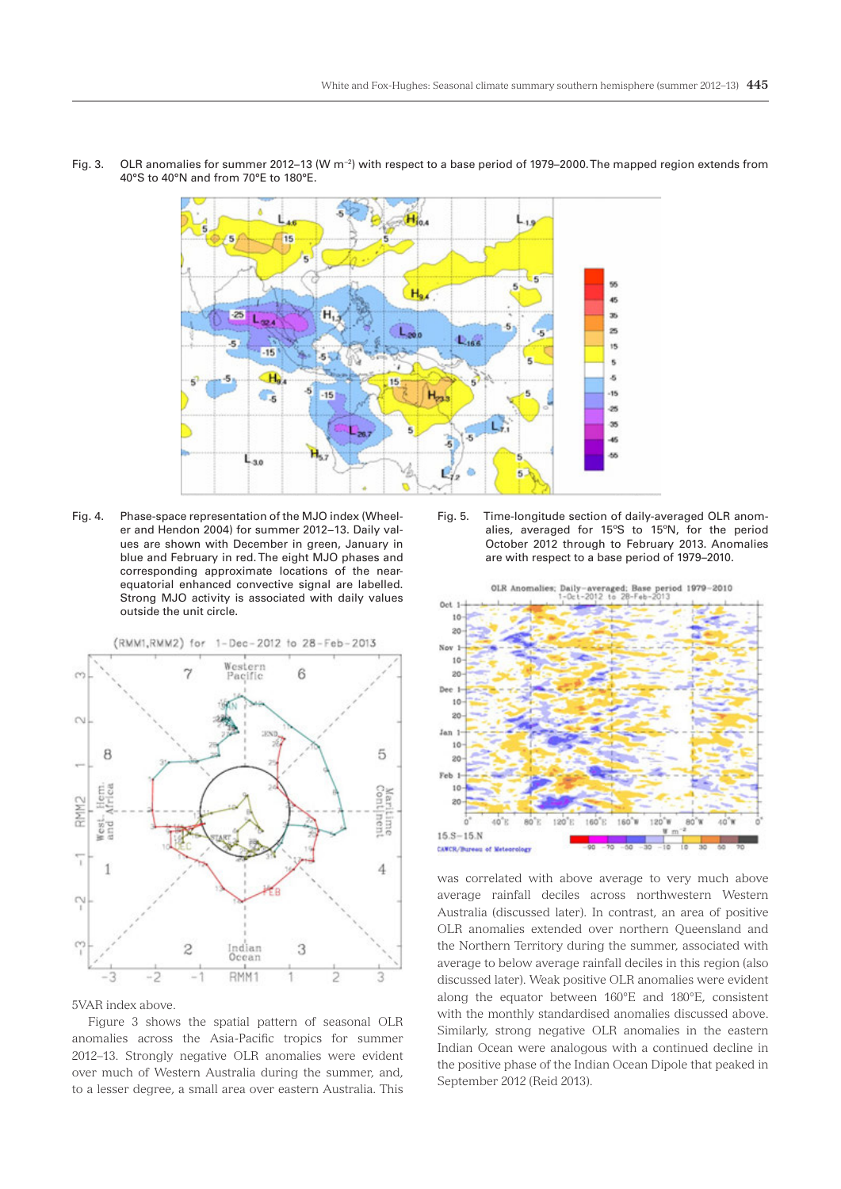

Fig. 3. OLR anomalies for summer 2012–13 (W m−2) with respect to a base period of 1979–2000. The mapped region extends from 40°S to 40°N and from 70°E to 180°E.

Fig. 4. Phase-space representation of the MJO index (Wheeler and Hendon 2004) for summer 2012−13. Daily values are shown with December in green, January in blue and February in red. The eight MJO phases and corresponding approximate locations of the nearequatorial enhanced convective signal are labelled. Strong MJO activity is associated with daily values outside the unit circle.



5VAR index above.

Figure 3 shows the spatial pattern of seasonal OLR anomalies across the Asia-Pacific tropics for summer 2012–13. Strongly negative OLR anomalies were evident over much of Western Australia during the summer, and, to a lesser degree, a small area over eastern Australia. This

Fig. 5. Time-longitude section of daily-averaged OLR anomalies, averaged for 15ºS to 15ºN, for the period October 2012 through to February 2013. Anomalies are with respect to a base period of 1979–2010.



was correlated with above average to very much above average rainfall deciles across northwestern Western Australia (discussed later). In contrast, an area of positive OLR anomalies extended over northern Queensland and the Northern Territory during the summer, associated with average to below average rainfall deciles in this region (also discussed later). Weak positive OLR anomalies were evident along the equator between 160°E and 180°E, consistent with the monthly standardised anomalies discussed above. Similarly, strong negative OLR anomalies in the eastern Indian Ocean were analogous with a continued decline in the positive phase of the Indian Ocean Dipole that peaked in September 2012 (Reid 2013).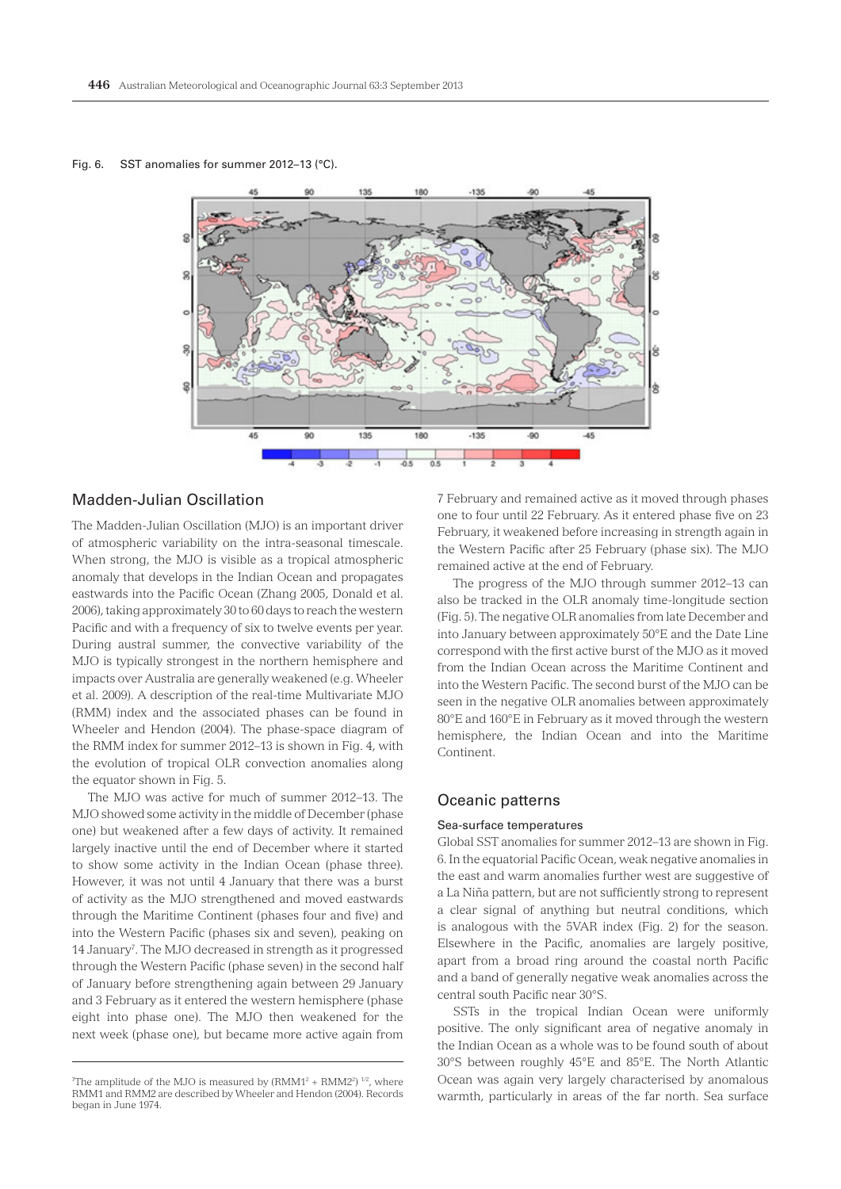Fig. 6. SST anomalies for summer 2012–13 (°C).



# Madden-Julian Oscillation

The Madden-Julian Oscillation (MJO) is an important driver of atmospheric variability on the intra-seasonal timescale. When strong, the MJO is visible as a tropical atmospheric anomaly that develops in the Indian Ocean and propagates eastwards into the Pacific Ocean (Zhang 2005, Donald et al. 2006), taking approximately 30 to 60 days to reach the western Pacific and with a frequency of six to twelve events per year. During austral summer, the convective variability of the MJO is typically strongest in the northern hemisphere and impacts over Australia are generally weakened (e.g. Wheeler et al. 2009). A description of the real-time Multivariate MJO (RMM) index and the associated phases can be found in Wheeler and Hendon (2004). The phase-space diagram of the RMM index for summer 2012–13 is shown in Fig. 4, with the evolution of tropical OLR convection anomalies along the equator shown in Fig. 5.

The MJO was active for much of summer 2012–13. The MJO showed some activity in the middle of December (phase one) but weakened after a few days of activity. It remained largely inactive until the end of December where it started to show some activity in the Indian Ocean (phase three). However, it was not until 4 January that there was a burst of activity as the MJO strengthened and moved eastwards through the Maritime Continent (phases four and five) and into the Western Pacific (phases six and seven), peaking on 14 January<sup>7</sup>. The MJO decreased in strength as it progressed through the Western Pacific (phase seven) in the second half of January before strengthening again between 29 January and 3 February as it entered the western hemisphere (phase eight into phase one). The MJO then weakened for the next week (phase one), but became more active again from

7 February and remained active as it moved through phases one to four until 22 February. As it entered phase five on 23 February, it weakened before increasing in strength again in the Western Pacific after 25 February (phase six). The MJO remained active at the end of February.

The progress of the MJO through summer 2012–13 can also be tracked in the OLR anomaly time-longitude section (Fig. 5). The negative OLR anomalies from late December and into January between approximately 50°E and the Date Line correspond with the first active burst of the MJO as it moved from the Indian Ocean across the Maritime Continent and into the Western Pacific. The second burst of the MJO can be seen in the negative OLR anomalies between approximately 80°E and 160°E in February as it moved through the western hemisphere, the Indian Ocean and into the Maritime Continent.

# Oceanic patterns

## Sea-surface temperatures

Global SST anomalies for summer 2012–13 are shown in Fig. 6. In the equatorial Pacific Ocean, weak negative anomalies in the east and warm anomalies further west are suggestive of a La Niña pattern, but are not sufficiently strong to represent a clear signal of anything but neutral conditions, which is analogous with the 5VAR index (Fig. 2) for the season. Elsewhere in the Pacific, anomalies are largely positive, apart from a broad ring around the coastal north Pacific and a band of generally negative weak anomalies across the central south Pacific near 30°S.

SSTs in the tropical Indian Ocean were uniformly positive. The only significant area of negative anomaly in the Indian Ocean as a whole was to be found south of about 30°S between roughly 45°E and 85°E. The North Atlantic Ocean was again very largely characterised by anomalous warmth, particularly in areas of the far north. Sea surface

The amplitude of the MJO is measured by  $(RMM1<sup>2</sup> + RMM2<sup>2</sup>)$  <sup>1/2</sup>, where RMM1 and RMM2 are described by Wheeler and Hendon (2004). Records began in June 1974.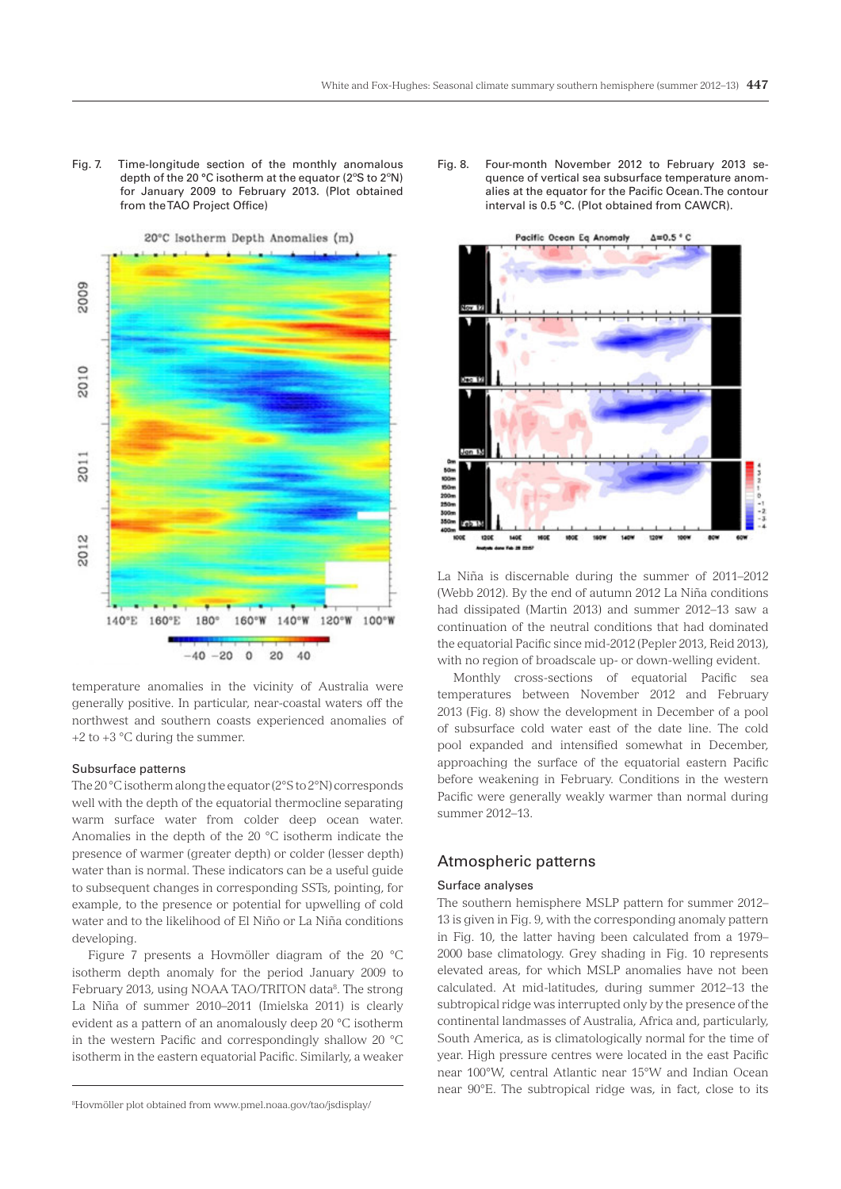Fig. 7. Time-longitude section of the monthly anomalous depth of the 20 °C isotherm at the equator (2ºS to 2ºN) for January 2009 to February 2013. (Plot obtained from the TAO Project Office)



temperature anomalies in the vicinity of Australia were generally positive. In particular, near-coastal waters off the northwest and southern coasts experienced anomalies of  $+2$  to  $+3$  °C during the summer.

#### Subsurface patterns

The 20 °C isotherm along the equator (2°S to 2°N) corresponds well with the depth of the equatorial thermocline separating warm surface water from colder deep ocean water. Anomalies in the depth of the 20 °C isotherm indicate the presence of warmer (greater depth) or colder (lesser depth) water than is normal. These indicators can be a useful guide to subsequent changes in corresponding SSTs, pointing, for example, to the presence or potential for upwelling of cold water and to the likelihood of El Niño or La Niña conditions developing.

Figure 7 presents a Hovmöller diagram of the 20 °C isotherm depth anomaly for the period January 2009 to February 2013, using NOAA TAO/TRITON data<sup>8</sup>. The strong La Niña of summer 2010–2011 (Imielska 2011) is clearly evident as a pattern of an anomalously deep 20 °C isotherm in the western Pacific and correspondingly shallow 20 °C isotherm in the eastern equatorial Pacific. Similarly, a weaker

Fig. 8. Four-month November 2012 to February 2013 sequence of vertical sea subsurface temperature anomalies at the equator for the Pacific Ocean. The contour interval is 0.5 °C. (Plot obtained from CAWCR).



La Niña is discernable during the summer of 2011–2012 (Webb 2012). By the end of autumn 2012 La Niña conditions had dissipated (Martin 2013) and summer 2012–13 saw a continuation of the neutral conditions that had dominated the equatorial Pacific since mid-2012 (Pepler 2013, Reid 2013), with no region of broadscale up- or down-welling evident.

Monthly cross-sections of equatorial Pacific sea temperatures between November 2012 and February 2013 (Fig. 8) show the development in December of a pool of subsurface cold water east of the date line. The cold pool expanded and intensified somewhat in December, approaching the surface of the equatorial eastern Pacific before weakening in February. Conditions in the western Pacific were generally weakly warmer than normal during summer 2012–13.

# Atmospheric patterns

#### Surface analyses

The southern hemisphere MSLP pattern for summer 2012– 13 is given in Fig. 9, with the corresponding anomaly pattern in Fig. 10, the latter having been calculated from a 1979– 2000 base climatology. Grey shading in Fig. 10 represents elevated areas, for which MSLP anomalies have not been calculated. At mid-latitudes, during summer 2012–13 the subtropical ridge was interrupted only by the presence of the continental landmasses of Australia, Africa and, particularly, South America, as is climatologically normal for the time of year. High pressure centres were located in the east Pacific near 100°W, central Atlantic near 15°W and Indian Ocean near 90°E. The subtropical ridge was, in fact, close to its

<sup>8</sup> Hovmöller plot obtained from www.pmel.noaa.gov/tao/jsdisplay/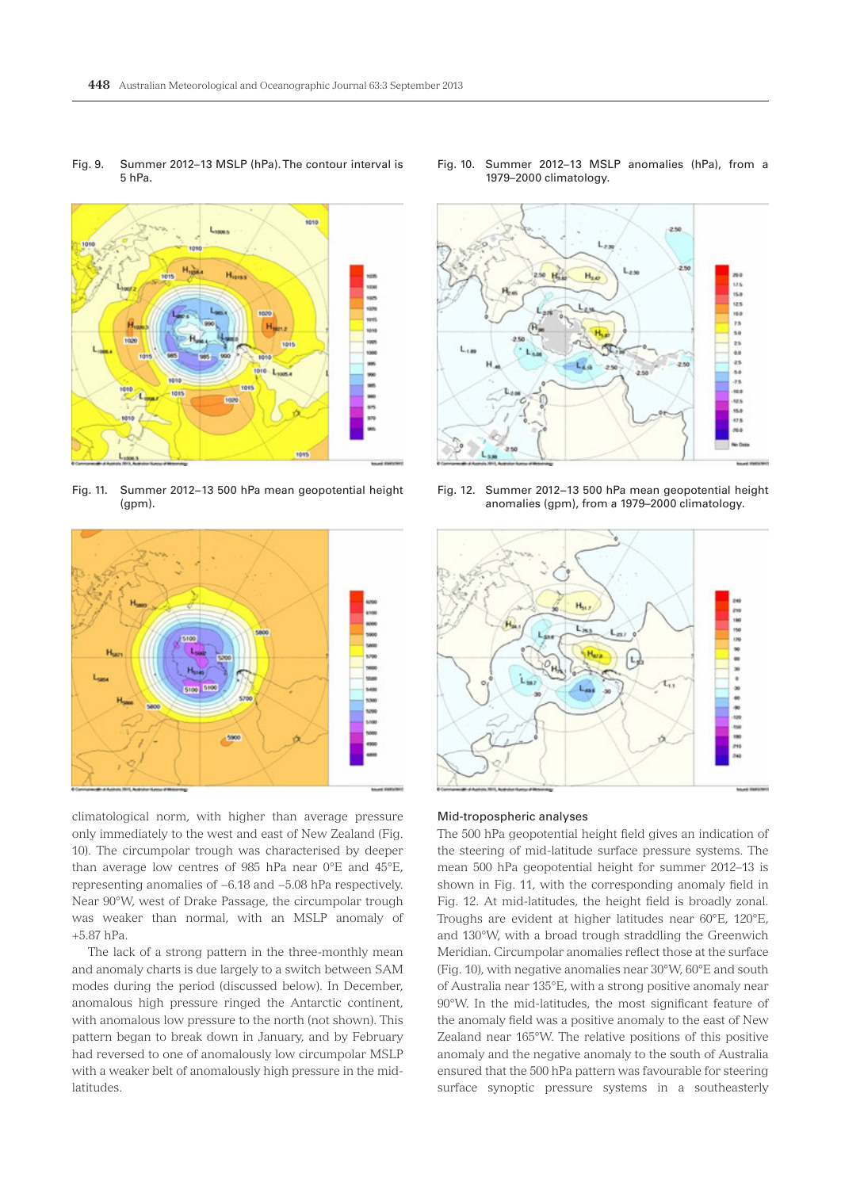

Fig. 11. Summer 2012−13 500 hPa mean geopotential height

(gpm).

Fig. 9. Summer 2012–13 MSLP (hPa). The contour interval is 5 hPa.

## Fig. 10. Summer 2012–13 MSLP anomalies (hPa), from a 1979–2000 climatology.



Fig. 12. Summer 2012−13 500 hPa mean geopotential height anomalies (gpm), from a 1979–2000 climatology.



climatological norm, with higher than average pressure only immediately to the west and east of New Zealand (Fig. 10). The circumpolar trough was characterised by deeper than average low centres of 985 hPa near 0°E and 45°E, representing anomalies of −6.18 and −5.08 hPa respectively. Near 90°W, west of Drake Passage, the circumpolar trough was weaker than normal, with an MSLP anomaly of +5.87 hPa.

The lack of a strong pattern in the three-monthly mean and anomaly charts is due largely to a switch between SAM modes during the period (discussed below). In December, anomalous high pressure ringed the Antarctic continent, with anomalous low pressure to the north (not shown). This pattern began to break down in January, and by February had reversed to one of anomalously low circumpolar MSLP with a weaker belt of anomalously high pressure in the midlatitudes.



#### Mid-tropospheric analyses

The 500 hPa geopotential height field gives an indication of the steering of mid-latitude surface pressure systems. The mean 500 hPa geopotential height for summer 2012–13 is shown in Fig. 11, with the corresponding anomaly field in Fig. 12. At mid-latitudes, the height field is broadly zonal. Troughs are evident at higher latitudes near 60°E, 120°E, and 130°W, with a broad trough straddling the Greenwich Meridian. Circumpolar anomalies reflect those at the surface (Fig. 10), with negative anomalies near 30°W, 60°E and south of Australia near 135°E, with a strong positive anomaly near 90°W. In the mid-latitudes, the most significant feature of the anomaly field was a positive anomaly to the east of New Zealand near 165°W. The relative positions of this positive anomaly and the negative anomaly to the south of Australia ensured that the 500 hPa pattern was favourable for steering surface synoptic pressure systems in a southeasterly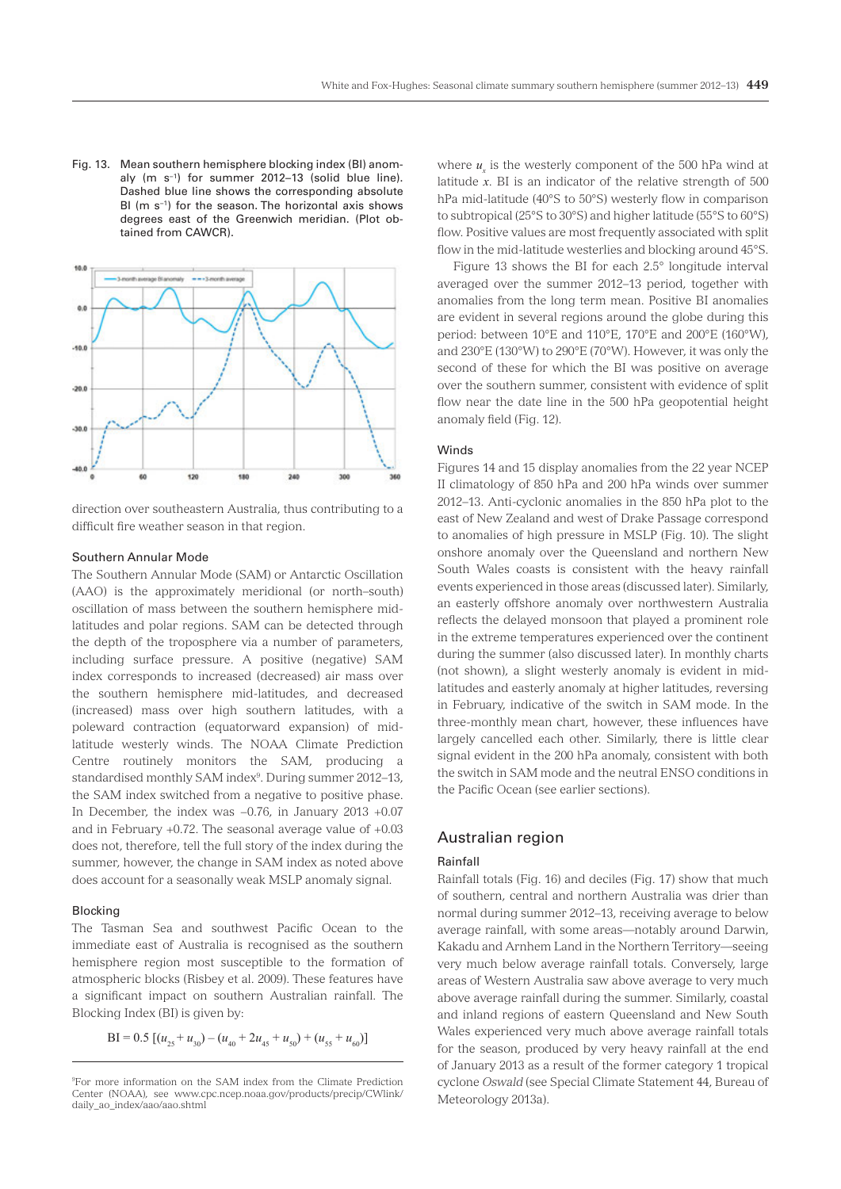Fig. 13. Mean southern hemisphere blocking index (BI) anomaly (m s−1) for summer 2012–13 (solid blue line). Dashed blue line shows the corresponding absolute BI (m s−1) for the season. The horizontal axis shows degrees east of the Greenwich meridian. (Plot obtained from CAWCR).



direction over southeastern Australia, thus contributing to a difficult fire weather season in that region.

#### Southern Annular Mode

The Southern Annular Mode (SAM) or Antarctic Oscillation (AAO) is the approximately meridional (or north–south) oscillation of mass between the southern hemisphere midlatitudes and polar regions. SAM can be detected through the depth of the troposphere via a number of parameters, including surface pressure. A positive (negative) SAM index corresponds to increased (decreased) air mass over the southern hemisphere mid-latitudes, and decreased (increased) mass over high southern latitudes, with a poleward contraction (equatorward expansion) of midlatitude westerly winds. The NOAA Climate Prediction Centre routinely monitors the SAM, producing a standardised monthly SAM index<sup>9</sup>. During summer 2012–13, the SAM index switched from a negative to positive phase. In December, the index was −0.76, in January 2013 +0.07 and in February +0.72. The seasonal average value of +0.03 does not, therefore, tell the full story of the index during the summer, however, the change in SAM index as noted above does account for a seasonally weak MSLP anomaly signal.

## Blocking

The Tasman Sea and southwest Pacific Ocean to the immediate east of Australia is recognised as the southern hemisphere region most susceptible to the formation of atmospheric blocks (Risbey et al. 2009). These features have a significant impact on southern Australian rainfall. The Blocking Index (BI) is given by:

 $BI = 0.5 [(u_{25} + u_{30}) - (u_{40} + 2u_{45} + u_{50}) + (u_{55} + u_{60})]$ 

where  $u_x$  is the westerly component of the 500 hPa wind at latitude *x*. BI is an indicator of the relative strength of 500 hPa mid-latitude (40°S to 50°S) westerly flow in comparison to subtropical (25°S to 30°S) and higher latitude (55°S to 60°S) flow. Positive values are most frequently associated with split flow in the mid-latitude westerlies and blocking around 45°S.

Figure 13 shows the BI for each 2.5° longitude interval averaged over the summer 2012–13 period, together with anomalies from the long term mean. Positive BI anomalies are evident in several regions around the globe during this period: between 10°E and 110°E, 170°E and 200°E (160°W), and 230°E (130°W) to 290°E (70°W). However, it was only the second of these for which the BI was positive on average over the southern summer, consistent with evidence of split flow near the date line in the 500 hPa geopotential height anomaly field (Fig. 12).

## Winds

Figures 14 and 15 display anomalies from the 22 year NCEP II climatology of 850 hPa and 200 hPa winds over summer 2012–13. Anti-cyclonic anomalies in the 850 hPa plot to the east of New Zealand and west of Drake Passage correspond to anomalies of high pressure in MSLP (Fig. 10). The slight onshore anomaly over the Queensland and northern New South Wales coasts is consistent with the heavy rainfall events experienced in those areas (discussed later). Similarly, an easterly offshore anomaly over northwestern Australia reflects the delayed monsoon that played a prominent role in the extreme temperatures experienced over the continent during the summer (also discussed later). In monthly charts (not shown), a slight westerly anomaly is evident in midlatitudes and easterly anomaly at higher latitudes, reversing in February, indicative of the switch in SAM mode. In the three-monthly mean chart, however, these influences have largely cancelled each other. Similarly, there is little clear signal evident in the 200 hPa anomaly, consistent with both the switch in SAM mode and the neutral ENSO conditions in the Pacific Ocean (see earlier sections).

# Australian region

## Rainfall

Rainfall totals (Fig. 16) and deciles (Fig. 17) show that much of southern, central and northern Australia was drier than normal during summer 2012–13, receiving average to below average rainfall, with some areas—notably around Darwin, Kakadu and Arnhem Land in the Northern Territory—seeing very much below average rainfall totals. Conversely, large areas of Western Australia saw above average to very much above average rainfall during the summer. Similarly, coastal and inland regions of eastern Queensland and New South Wales experienced very much above average rainfall totals for the season, produced by very heavy rainfall at the end of January 2013 as a result of the former category 1 tropical cyclone *Oswald* (see Special Climate Statement 44, Bureau of Meteorology 2013a).

<sup>9</sup> For more information on the SAM index from the Climate Prediction Center (NOAA), see www.cpc.ncep.noaa.gov/products/precip/CWlink/ daily\_ao\_index/aao/aao.shtml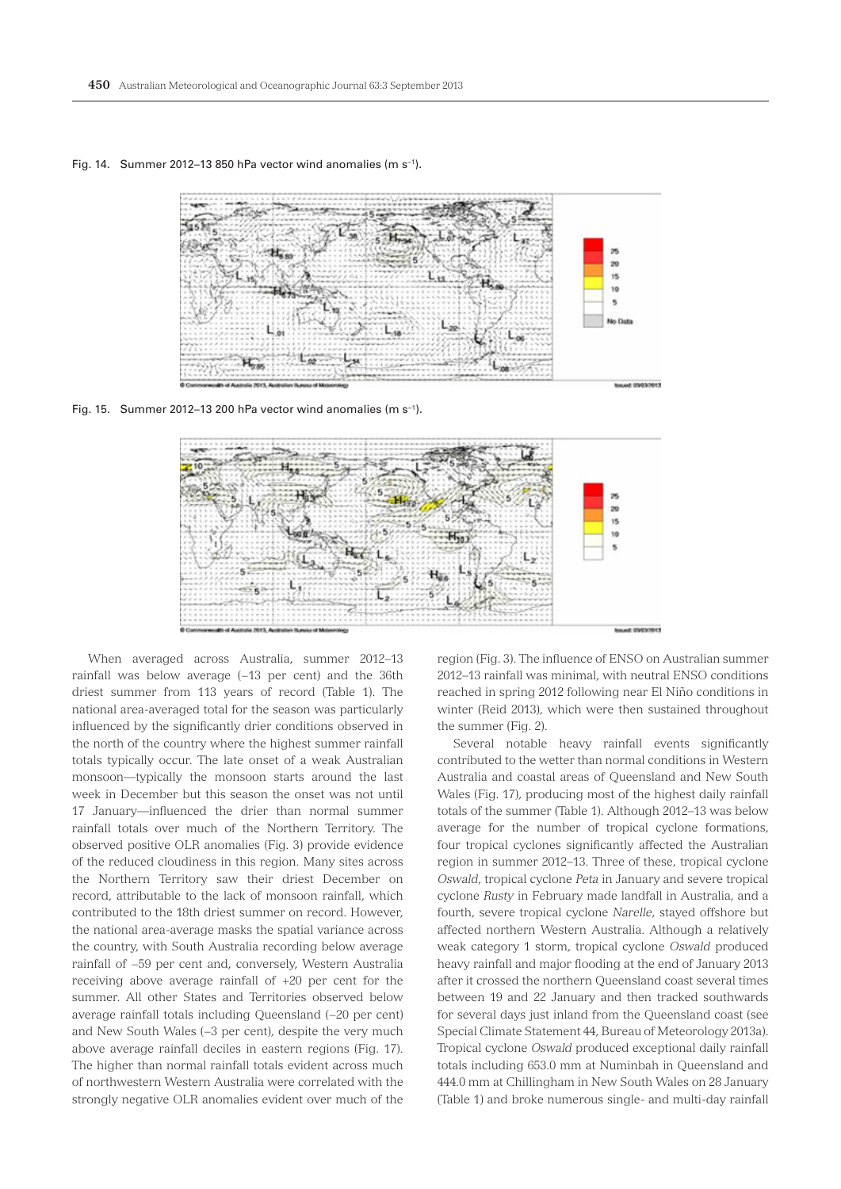

Fig. 14. Summer 2012–13 850 hPa vector wind anomalies (m s−1).

Fig. 15. Summer 2012–13 200 hPa vector wind anomalies (m s−1).



When averaged across Australia, summer 2012–13 rainfall was below average (-13 per cent) and the 36th driest summer from 113 years of record (Table 1). The national area-averaged total for the season was particularly influenced by the significantly drier conditions observed in the north of the country where the highest summer rainfall totals typically occur. The late onset of a weak Australian monsoon—typically the monsoon starts around the last week in December but this season the onset was not until 17 January—influenced the drier than normal summer rainfall totals over much of the Northern Territory. The observed positive OLR anomalies (Fig. 3) provide evidence of the reduced cloudiness in this region. Many sites across the Northern Territory saw their driest December on record, attributable to the lack of monsoon rainfall, which contributed to the 18th driest summer on record. However, the national area-average masks the spatial variance across the country, with South Australia recording below average rainfall of −59 per cent and, conversely, Western Australia receiving above average rainfall of +20 per cent for the summer. All other States and Territories observed below average rainfall totals including Queensland (−20 per cent) and New South Wales (−3 per cent), despite the very much above average rainfall deciles in eastern regions (Fig. 17). The higher than normal rainfall totals evident across much of northwestern Western Australia were correlated with the strongly negative OLR anomalies evident over much of the

region (Fig. 3). The influence of ENSO on Australian summer 2012–13 rainfall was minimal, with neutral ENSO conditions reached in spring 2012 following near El Niño conditions in winter (Reid 2013), which were then sustained throughout the summer (Fig. 2).

Several notable heavy rainfall events significantly contributed to the wetter than normal conditions in Western Australia and coastal areas of Queensland and New South Wales (Fig. 17), producing most of the highest daily rainfall totals of the summer (Table 1). Although 2012–13 was below average for the number of tropical cyclone formations, four tropical cyclones significantly affected the Australian region in summer 2012–13. Three of these, tropical cyclone *Oswald*, tropical cyclone *Peta* in January and severe tropical cyclone *Rusty* in February made landfall in Australia, and a fourth, severe tropical cyclone *Narelle*, stayed offshore but affected northern Western Australia. Although a relatively weak category 1 storm, tropical cyclone *Oswald* produced heavy rainfall and major flooding at the end of January 2013 after it crossed the northern Queensland coast several times between 19 and 22 January and then tracked southwards for several days just inland from the Queensland coast (see Special Climate Statement 44, Bureau of Meteorology 2013a). Tropical cyclone *Oswald* produced exceptional daily rainfall totals including 653.0 mm at Numinbah in Queensland and 444.0 mm at Chillingham in New South Wales on 28 January (Table 1) and broke numerous single- and multi-day rainfall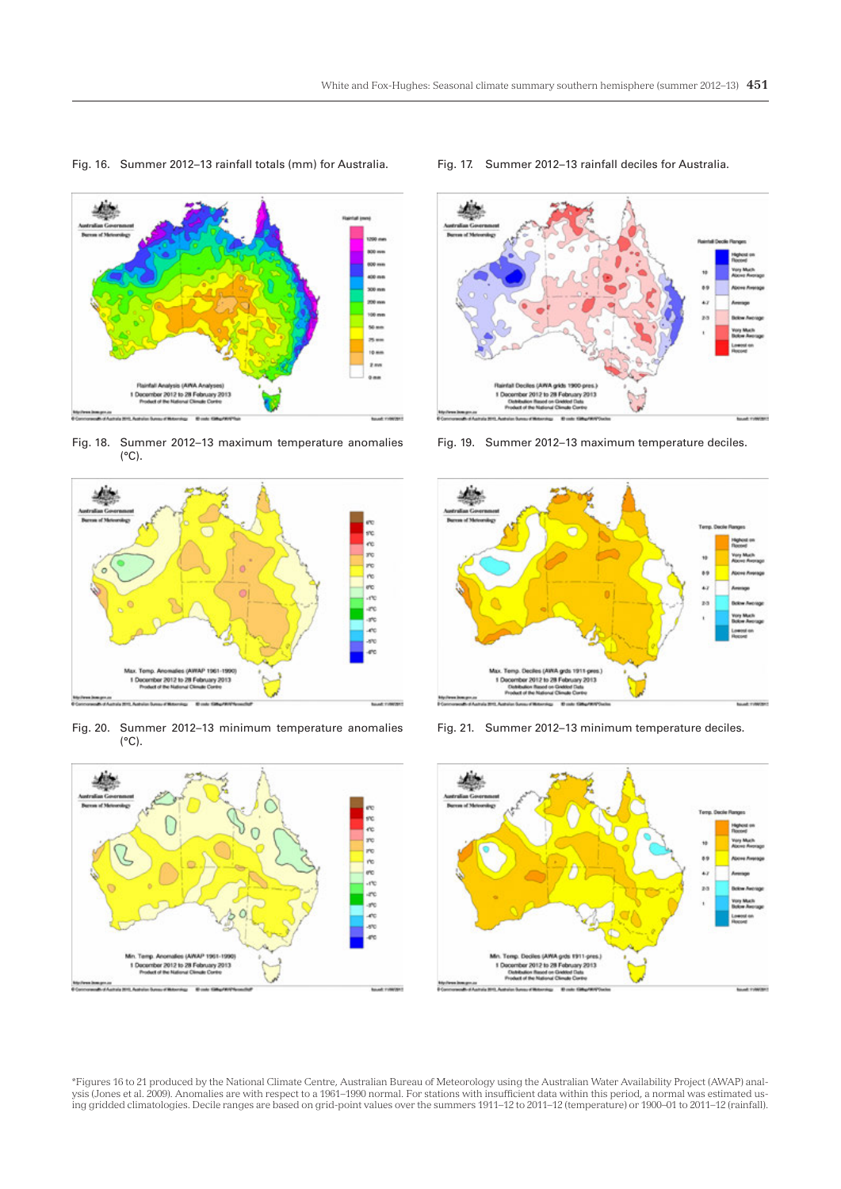

Fig. 16. Summer 2012–13 rainfall totals (mm) for Australia. Fig. 17. Summer 2012–13 rainfall deciles for Australia.

Fig. 18. Summer 2012–13 maximum temperature anomalies (°C).



Fig. 20. Summer 2012–13 minimum temperature anomalies  $(^{\circ}C)$ .





Fig. 19. Summer 2012–13 maximum temperature deciles.



Fig. 21. Summer 2012–13 minimum temperature deciles.



\*Figures 16 to 21 produced by the National Climate Centre, Australian Bureau of Meteorology using the Australian Water Availability Project (AWAP) analysis (Jones et al. 2009). Anomalies are with respect to a 1961–1990 normal. For stations with insufficient data within this period, a normal was estimated using gridded climatologies. Decile ranges are based on grid-point values over the summers 1911–12 to 2011–12 (temperature) or 1900–01 to 2011–12 (rainfall).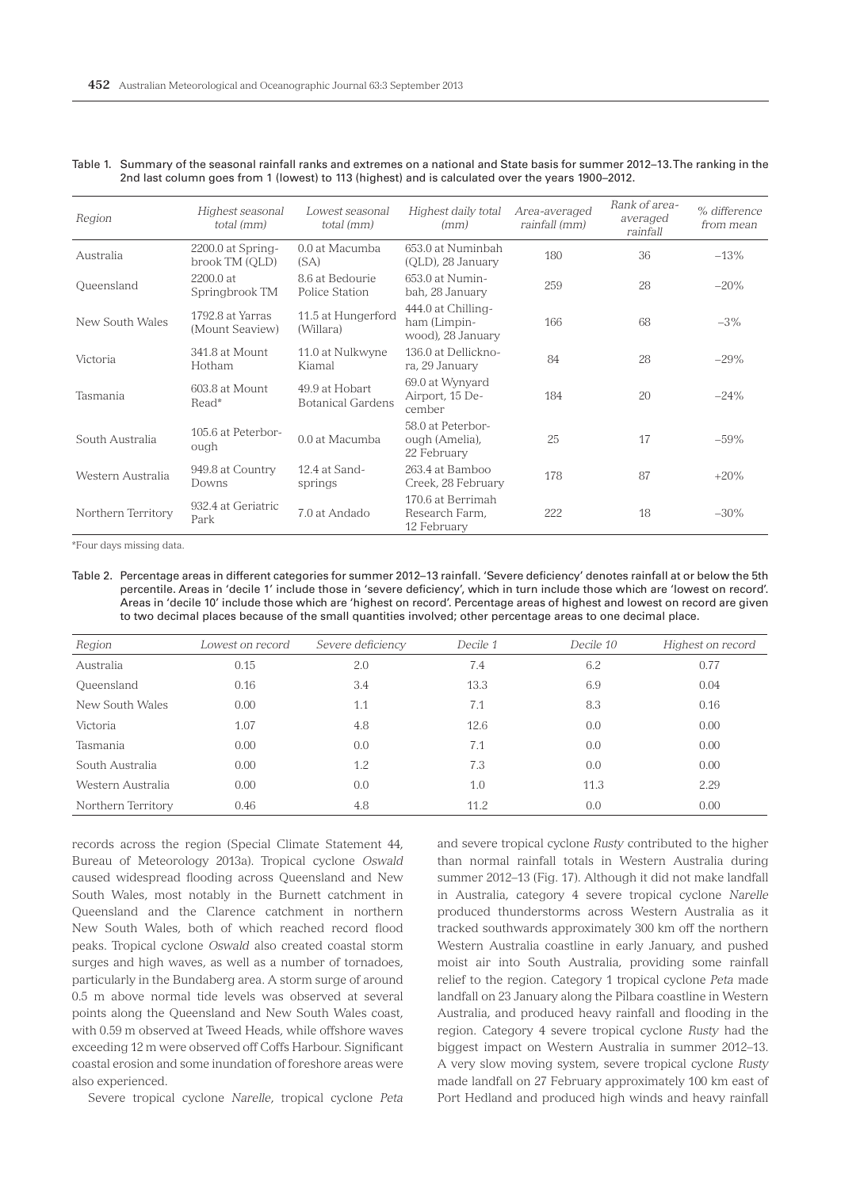| Region             | Highest seasonal<br>total (mm)      | Lowest seasonal<br>total (mm)       |                                                         | Area-averaged<br>rainfall (mm) | Rank of area-<br>averaged<br>rainfall | % difference<br>from mean |
|--------------------|-------------------------------------|-------------------------------------|---------------------------------------------------------|--------------------------------|---------------------------------------|---------------------------|
| Australia          | 2200.0 at Spring-<br>brook TM (OLD) | 0.0 at Macumba<br>(SA)              | 653.0 at Numinbah<br>(QLD), 28 January                  | 180                            | 36                                    | $-13%$                    |
| Queensland         | 2200.0 at<br>Springbrook TM         | 8.6 at Bedourie<br>Police Station   | 653.0 at Numin-<br>bah, 28 January                      | 259                            | 28                                    | $-20\%$                   |
| New South Wales    | 1792.8 at Yarras<br>(Mount Seaview) | 11.5 at Hungerford<br>(Willara)     | 444.0 at Chilling-<br>ham (Limpin-<br>wood), 28 January | 166                            | 68                                    | $-3\%$                    |
| Victoria           | 341.8 at Mount<br>Hotham            | 11.0 at Nulkwyne<br>Kiamal          | 136.0 at Dellickno-<br>ra, 29 January                   | 84                             | 28                                    | $-29%$                    |
| Tasmania           | 603.8 at Mount<br>Read*             | 49.9 at Hobart<br>Botanical Gardens | 69.0 at Wynyard<br>Airport, 15 De-<br>cember            | 184                            | 20                                    | $-24\%$                   |
| South Australia    | 105.6 at Peterbor-<br>ough          | 0.0 at Macumba                      | 58.0 at Peterbor-<br>ough (Amelia),<br>22 February      | 25                             | 17                                    | $-59\%$                   |
| Western Australia  | 949.8 at Country<br>Downs           | 12.4 at Sand-<br>springs            | 263.4 at Bamboo<br>Creek, 28 February                   | 178                            | 87                                    | $+20%$                    |
| Northern Territory | 932.4 at Geriatric<br>Park          | 7.0 at Andado                       | 170.6 at Berrimah<br>Research Farm.<br>12 February      | 222                            | 18                                    | $-30\%$                   |

Table 1. Summary of the seasonal rainfall ranks and extremes on a national and State basis for summer 2012–13. The ranking in the 2nd last column goes from 1 (lowest) to 113 (highest) and is calculated over the years 1900–2012.

\*Four days missing data.

Table 2. Percentage areas in different categories for summer 2012–13 rainfall. 'Severe deficiency' denotes rainfall at or below the 5th percentile. Areas in 'decile 1' include those in 'severe deficiency', which in turn include those which are 'lowest on record'. Areas in 'decile 10' include those which are 'highest on record'. Percentage areas of highest and lowest on record are given to two decimal places because of the small quantities involved; other percentage areas to one decimal place.

| Region             | Lowest on record | Severe deficiency | Decile 1 | Decile 10 | Highest on record |
|--------------------|------------------|-------------------|----------|-----------|-------------------|
| Australia          | 0.15             | 2.0               | 7.4      | 6.2       | 0.77              |
| Queensland         | 0.16             | 3.4               | 13.3     | 6.9       | 0.04              |
| New South Wales    | 0.00             | 1.1               | 7.1      | 8.3       | 0.16              |
| Victoria           | 1.07             | 4.8               | 12.6     | 0.0       | 0.00              |
| Tasmania           | 0.00             | 0.0               | 7.1      | 0.0       | 0.00              |
| South Australia    | 0.00             | 1.2               | 7.3      | 0.0       | 0.00              |
| Western Australia  | 0.00             | 0.0               | 1.0      | 11.3      | 2.29              |
| Northern Territory | 0.46             | 4.8               | 11.2     | 0.0       | 0.00              |

records across the region (Special Climate Statement 44, Bureau of Meteorology 2013a). Tropical cyclone *Oswald* caused widespread flooding across Queensland and New South Wales, most notably in the Burnett catchment in Queensland and the Clarence catchment in northern New South Wales, both of which reached record flood peaks. Tropical cyclone *Oswald* also created coastal storm surges and high waves, as well as a number of tornadoes, particularly in the Bundaberg area. A storm surge of around 0.5 m above normal tide levels was observed at several points along the Queensland and New South Wales coast, with 0.59 m observed at Tweed Heads, while offshore waves exceeding 12 m were observed off Coffs Harbour. Significant coastal erosion and some inundation of foreshore areas were also experienced.

Severe tropical cyclone *Narelle*, tropical cyclone *Peta*

and severe tropical cyclone *Rusty* contributed to the higher than normal rainfall totals in Western Australia during summer 2012–13 (Fig. 17). Although it did not make landfall in Australia, category 4 severe tropical cyclone *Narelle* produced thunderstorms across Western Australia as it tracked southwards approximately 300 km off the northern Western Australia coastline in early January, and pushed moist air into South Australia, providing some rainfall relief to the region. Category 1 tropical cyclone *Peta* made landfall on 23 January along the Pilbara coastline in Western Australia, and produced heavy rainfall and flooding in the region. Category 4 severe tropical cyclone *Rusty* had the biggest impact on Western Australia in summer 2012–13. A very slow moving system, severe tropical cyclone *Rusty* made landfall on 27 February approximately 100 km east of Port Hedland and produced high winds and heavy rainfall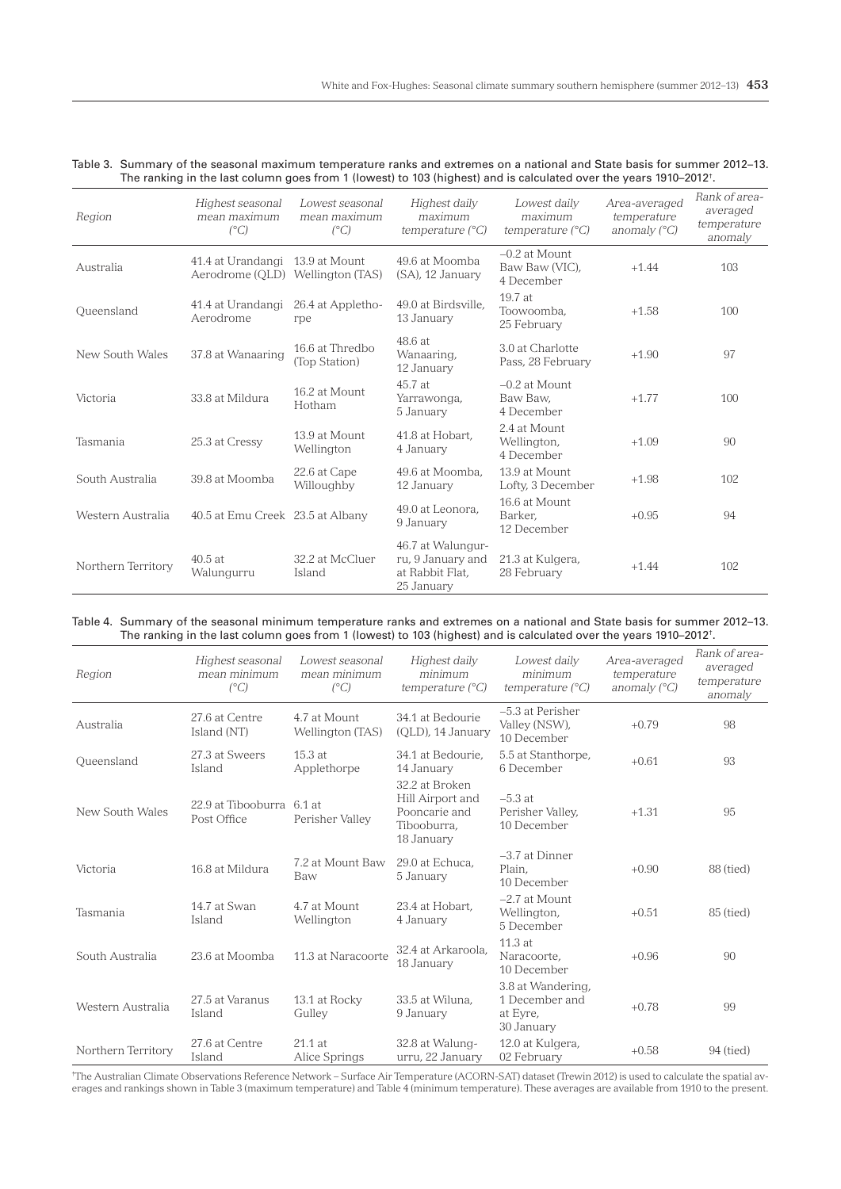| Table 3. Summary of the seasonal maximum temperature ranks and extremes on a national and State basis for summer 2012–13.      |  |
|--------------------------------------------------------------------------------------------------------------------------------|--|
| The ranking in the last column goes from 1 (lowest) to 103 (highest) and is calculated over the years 1910–2012 <sup>†</sup> . |  |

| Region             | Highest seasonal<br>mean maximum<br>$(^{\circ}C)$                   | Lowest seasonal<br>mean maximum<br>$(^{\circ}C)$ | Highest daily<br>maximum<br>temperature $(^{\circ}C)$                   | Lowest daily<br>maximum<br>temperature $(^{\circ}C)$ | Area-averaged<br>temperature<br>anomaly $(^{\circ}C)$ | Rank of area-<br>averaged<br>temperature<br>anomaly |
|--------------------|---------------------------------------------------------------------|--------------------------------------------------|-------------------------------------------------------------------------|------------------------------------------------------|-------------------------------------------------------|-----------------------------------------------------|
| Australia          | 41.4 at Urandangi 13.9 at Mount<br>Aerodrome (OLD) Wellington (TAS) |                                                  | 49.6 at Moomba<br>(SA), 12 January                                      | $-0.2$ at Mount<br>Baw Baw (VIC),<br>4 December      | $+1.44$                                               | 103                                                 |
| Oueensland         | 41.4 at Urandangi<br>Aerodrome                                      | 26.4 at Appletho-<br>rpe                         | 49.0 at Birdsville,<br>13 January                                       | 19.7 at<br>Toowoomba.<br>25 February                 | $+1.58$                                               | 100                                                 |
| New South Wales    | 37.8 at Wanaaring                                                   | 16.6 at Thredbo<br>(Top Station)                 | 48.6 at<br>Wanaaring,<br>12 January                                     | 3.0 at Charlotte<br>Pass, 28 February                | $+1.90$                                               | 97                                                  |
| Victoria           | 33.8 at Mildura                                                     | 16.2 at Mount<br>Hotham                          | 45.7 at<br>Yarrawonga,<br>5 January                                     | $-0.2$ at Mount<br>Baw Baw,<br>4 December            | $+1.77$                                               | 100                                                 |
| Tasmania           | 25.3 at Cressy                                                      | 13.9 at Mount<br>Wellington                      | 41.8 at Hobart.<br>4 January                                            | 2.4 at Mount<br>Wellington.<br>4 December            | $+1.09$                                               | 90                                                  |
| South Australia    | 39.8 at Moomba                                                      | 22.6 at Cape<br>Willoughby                       | 49.6 at Moomba.<br>12 January                                           | 13.9 at Mount<br>Lofty, 3 December                   | $+1.98$                                               | 102                                                 |
| Western Australia  | 40.5 at Emu Creek 23.5 at Albany                                    |                                                  | 49.0 at Leonora.<br>9 January                                           | 16.6 at Mount<br>Barker.<br>12 December              | $+0.95$                                               | 94                                                  |
| Northern Territory | 40.5at<br>Walunqurru                                                | 32.2 at McCluer<br>Island                        | 46.7 at Walungur-<br>ru, 9 January and<br>at Rabbit Flat,<br>25 January | 21.3 at Kulgera,<br>28 February                      | $+1.44$                                               | 102                                                 |

#### Table 4. Summary of the seasonal minimum temperature ranks and extremes on a national and State basis for summer 2012–13. The ranking in the last column goes from 1 (lowest) to 103 (highest) and is calculated over the years 1910–2012 $^{\rm t}$ .

| Region             | Highest seasonal<br>mean minimum<br>$(^{\circ}C)$    | Lowest seasonal<br>mean minimum<br>$(^{\circ}C)$ | Highest daily<br>minimum<br>temperature (°C)                                     | Lowest daily<br>minimum<br>temperature $(^{\circ}C)$          | Area-averaged<br>temperature<br>anomaly $(^{\circ}C)$ | Rank of area-<br>averaged<br>temperature<br>anomaly |
|--------------------|------------------------------------------------------|--------------------------------------------------|----------------------------------------------------------------------------------|---------------------------------------------------------------|-------------------------------------------------------|-----------------------------------------------------|
| Australia          | 27.6 at Centre<br>Island (NT)                        | 4.7 at Mount<br>Wellington (TAS)                 | 34.1 at Bedourie<br>(QLD), 14 January                                            | -5.3 at Perisher<br>Valley (NSW),<br>10 December              | $+0.79$                                               | 98                                                  |
| Queensland         | 27.3 at Sweers<br>Island                             | 15.3 at<br>Applethorpe                           | 34.1 at Bedourie.<br>14 January                                                  | 5.5 at Stanthorpe,<br>6 December                              | $+0.61$                                               | 93                                                  |
| New South Wales    | 22.9 at Tibooburra<br>Post Office                    | 6.1 at<br>Perisher Valley                        | 32.2 at Broken<br>Hill Airport and<br>Pooncarie and<br>Tibooburra,<br>18 January | $-5.3$ at<br>Perisher Valley,<br>10 December                  | $+1.31$                                               | 95                                                  |
| Victoria           | 16.8 at Mildura                                      | 7.2 at Mount Baw<br>Baw                          | 29.0 at Echuca.<br>5 January                                                     | -3.7 at Dinner<br>Plain,<br>10 December                       | $+0.90$                                               | 88 (tied)                                           |
| Tasmania           | 14.7 at Swan<br>4.7 at Mount<br>Wellington<br>Island |                                                  | 23.4 at Hobart.<br>4 January                                                     | $-2.7$ at Mount<br>Wellington,<br>5 December                  | $+0.51$                                               | 85 (tied)                                           |
| South Australia    | 23.6 at Moomba                                       | 11.3 at Naracoorte                               | 32.4 at Arkaroola,<br>18 January                                                 | 11.3at<br>Naracoorte,<br>10 December                          | $+0.96$                                               | 90                                                  |
| Western Australia  | 27.5 at Varanus<br>Island                            | 13.1 at Rocky<br>Gulley                          | 33.5 at Wiluna.<br>9 January                                                     | 3.8 at Wandering,<br>1 December and<br>at Eyre,<br>30 January | $+0.78$                                               | 99                                                  |
| Northern Territory | 27.6 at Centre<br>Island                             | 21.1 at<br>Alice Springs                         | 32.8 at Walung-<br>urru, 22 January                                              | 12.0 at Kulgera,<br>02 February                               | $+0.58$                                               | 94 (tied)                                           |

† The Australian Climate Observations Reference Network – Surface Air Temperature (ACORN-SAT) dataset (Trewin 2012) is used to calculate the spatial averages and rankings shown in Table 3 (maximum temperature) and Table 4 (minimum temperature). These averages are available from 1910 to the present.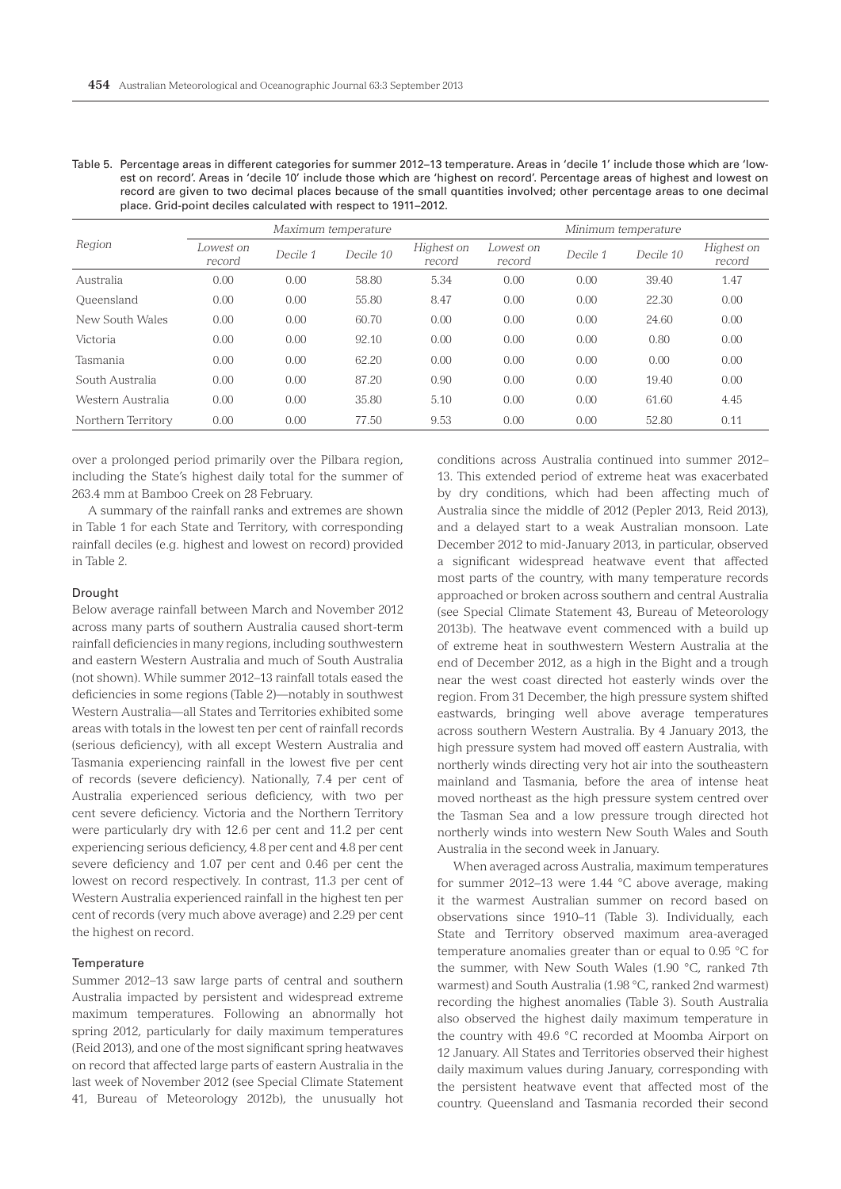| -Table 5. Percentage areas in different categories for summer 2012–13 temperature. Areas in 'decile 1' include those which are 'low- |
|--------------------------------------------------------------------------------------------------------------------------------------|
| est on record'. Areas in 'decile 10' include those which are 'highest on record'. Percentage areas of highest and lowest on          |
| record are given to two decimal places because of the small quantities involved; other percentage areas to one decimal               |
| place. Grid-point deciles calculated with respect to 1911–2012.                                                                      |

| Region             | Maximum temperature |          |           |                      | Minimum temperature |          |           |                      |
|--------------------|---------------------|----------|-----------|----------------------|---------------------|----------|-----------|----------------------|
|                    | Lowest on<br>record | Decile 1 | Decile 10 | Highest on<br>record | Lowest on<br>record | Decile 1 | Decile 10 | Highest on<br>record |
| Australia          | 0.00                | 0.00     | 58.80     | 5.34                 | 0.00                | 0.00     | 39.40     | 1.47                 |
| Oueensland         | 0.00                | 0.00     | 55.80     | 8.47                 | 0.00                | 0.00     | 22.30     | 0.00                 |
| New South Wales    | 0.00                | 0.00     | 60.70     | 0.00                 | 0.00                | 0.00     | 24.60     | 0.00                 |
| Victoria           | 0.00                | 0.00     | 92.10     | 0.00                 | 0.00                | 0.00     | 0.80      | 0.00                 |
| Tasmania           | 0.00                | 0.00     | 62.20     | 0.00                 | 0.00                | 0.00     | 0.00      | 0.00                 |
| South Australia    | 0.00                | 0.00     | 87.20     | 0.90                 | 0.00                | 0.00     | 19.40     | 0.00                 |
| Western Australia  | 0.00                | 0.00     | 35.80     | 5.10                 | 0.00                | 0.00     | 61.60     | 4.45                 |
| Northern Territory | 0.00                | 0.00     | 77.50     | 9.53                 | 0.00                | 0.00     | 52.80     | 0.11                 |

over a prolonged period primarily over the Pilbara region, including the State's highest daily total for the summer of 263.4 mm at Bamboo Creek on 28 February.

A summary of the rainfall ranks and extremes are shown in Table 1 for each State and Territory, with corresponding rainfall deciles (e.g. highest and lowest on record) provided in Table 2.

#### Drought

Below average rainfall between March and November 2012 across many parts of southern Australia caused short-term rainfall deficiencies in many regions, including southwestern and eastern Western Australia and much of South Australia (not shown). While summer 2012–13 rainfall totals eased the deficiencies in some regions (Table 2)—notably in southwest Western Australia—all States and Territories exhibited some areas with totals in the lowest ten per cent of rainfall records (serious deficiency), with all except Western Australia and Tasmania experiencing rainfall in the lowest five per cent of records (severe deficiency). Nationally, 7.4 per cent of Australia experienced serious deficiency, with two per cent severe deficiency. Victoria and the Northern Territory were particularly dry with 12.6 per cent and 11.2 per cent experiencing serious deficiency, 4.8 per cent and 4.8 per cent severe deficiency and 1.07 per cent and 0.46 per cent the lowest on record respectively. In contrast, 11.3 per cent of Western Australia experienced rainfall in the highest ten per cent of records (very much above average) and 2.29 per cent the highest on record.

## **Temperature**

Summer 2012–13 saw large parts of central and southern Australia impacted by persistent and widespread extreme maximum temperatures. Following an abnormally hot spring 2012, particularly for daily maximum temperatures (Reid 2013), and one of the most significant spring heatwaves on record that affected large parts of eastern Australia in the last week of November 2012 (see Special Climate Statement 41, Bureau of Meteorology 2012b), the unusually hot

conditions across Australia continued into summer 2012– 13. This extended period of extreme heat was exacerbated by dry conditions, which had been affecting much of Australia since the middle of 2012 (Pepler 2013, Reid 2013), and a delayed start to a weak Australian monsoon. Late December 2012 to mid-January 2013, in particular, observed a significant widespread heatwave event that affected most parts of the country, with many temperature records approached or broken across southern and central Australia (see Special Climate Statement 43, Bureau of Meteorology 2013b). The heatwave event commenced with a build up of extreme heat in southwestern Western Australia at the end of December 2012, as a high in the Bight and a trough near the west coast directed hot easterly winds over the region. From 31 December, the high pressure system shifted eastwards, bringing well above average temperatures across southern Western Australia. By 4 January 2013, the high pressure system had moved off eastern Australia, with northerly winds directing very hot air into the southeastern mainland and Tasmania, before the area of intense heat moved northeast as the high pressure system centred over the Tasman Sea and a low pressure trough directed hot northerly winds into western New South Wales and South Australia in the second week in January.

When averaged across Australia, maximum temperatures for summer 2012–13 were 1.44 °C above average, making it the warmest Australian summer on record based on observations since 1910–11 (Table 3). Individually, each State and Territory observed maximum area-averaged temperature anomalies greater than or equal to 0.95 °C for the summer, with New South Wales (1.90 °C, ranked 7th warmest) and South Australia (1.98 °C, ranked 2nd warmest) recording the highest anomalies (Table 3). South Australia also observed the highest daily maximum temperature in the country with 49.6 °C recorded at Moomba Airport on 12 January. All States and Territories observed their highest daily maximum values during January, corresponding with the persistent heatwave event that affected most of the country. Queensland and Tasmania recorded their second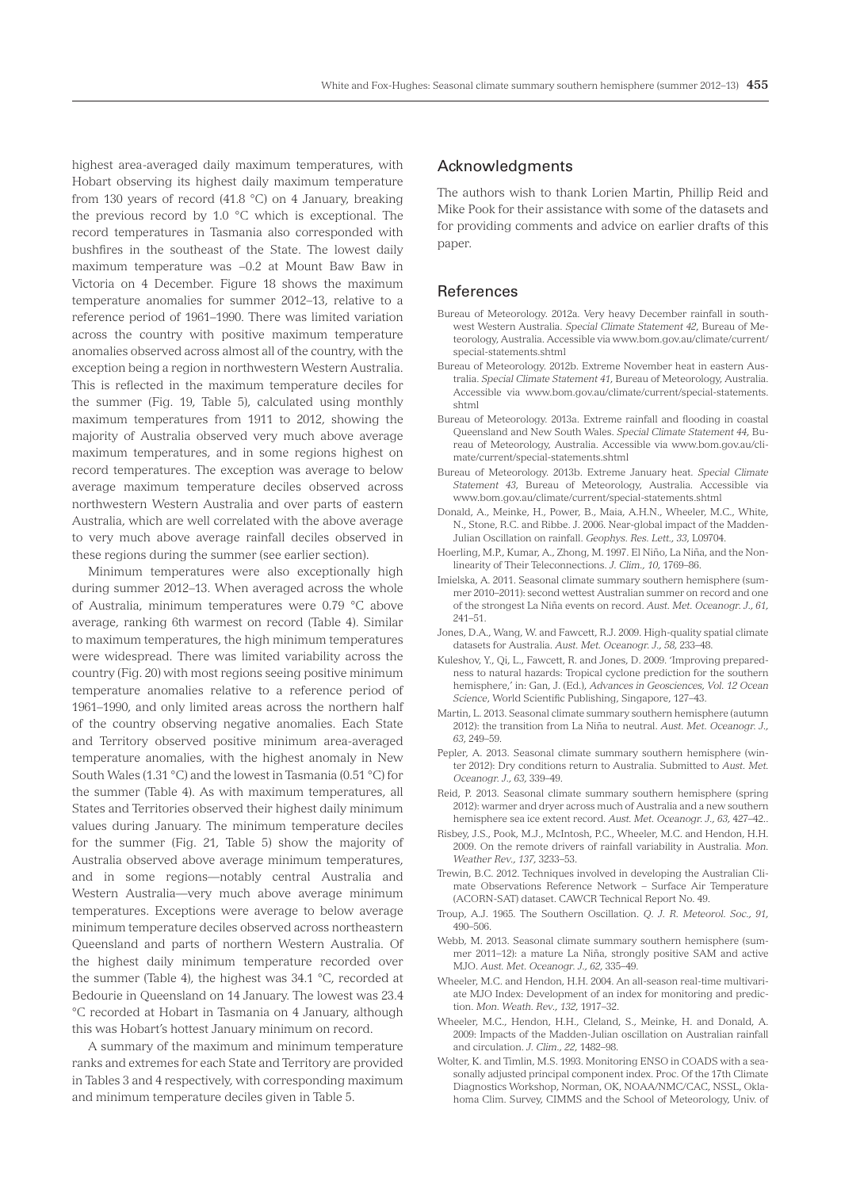highest area-averaged daily maximum temperatures, with Hobart observing its highest daily maximum temperature from 130 years of record (41.8 °C) on 4 January, breaking the previous record by 1.0 °C which is exceptional. The record temperatures in Tasmania also corresponded with bushfires in the southeast of the State. The lowest daily maximum temperature was −0.2 at Mount Baw Baw in Victoria on 4 December. Figure 18 shows the maximum temperature anomalies for summer 2012–13, relative to a reference period of 1961–1990. There was limited variation across the country with positive maximum temperature anomalies observed across almost all of the country, with the exception being a region in northwestern Western Australia. This is reflected in the maximum temperature deciles for the summer (Fig. 19, Table 5), calculated using monthly maximum temperatures from 1911 to 2012, showing the majority of Australia observed very much above average maximum temperatures, and in some regions highest on record temperatures. The exception was average to below average maximum temperature deciles observed across northwestern Western Australia and over parts of eastern Australia, which are well correlated with the above average to very much above average rainfall deciles observed in these regions during the summer (see earlier section).

Minimum temperatures were also exceptionally high during summer 2012–13. When averaged across the whole of Australia, minimum temperatures were 0.79 °C above average, ranking 6th warmest on record (Table 4). Similar to maximum temperatures, the high minimum temperatures were widespread. There was limited variability across the country (Fig. 20) with most regions seeing positive minimum temperature anomalies relative to a reference period of 1961–1990, and only limited areas across the northern half of the country observing negative anomalies. Each State and Territory observed positive minimum area-averaged temperature anomalies, with the highest anomaly in New South Wales (1.31 °C) and the lowest in Tasmania (0.51 °C) for the summer (Table 4). As with maximum temperatures, all States and Territories observed their highest daily minimum values during January. The minimum temperature deciles for the summer (Fig. 21, Table 5) show the majority of Australia observed above average minimum temperatures, and in some regions—notably central Australia and Western Australia—very much above average minimum temperatures. Exceptions were average to below average minimum temperature deciles observed across northeastern Queensland and parts of northern Western Australia. Of the highest daily minimum temperature recorded over the summer (Table 4), the highest was 34.1 °C, recorded at Bedourie in Queensland on 14 January. The lowest was 23.4 °C recorded at Hobart in Tasmania on 4 January, although this was Hobart's hottest January minimum on record.

A summary of the maximum and minimum temperature ranks and extremes for each State and Territory are provided in Tables 3 and 4 respectively, with corresponding maximum and minimum temperature deciles given in Table 5.

# Acknowledgments

The authors wish to thank Lorien Martin, Phillip Reid and Mike Pook for their assistance with some of the datasets and for providing comments and advice on earlier drafts of this paper.

## References

- Bureau of Meteorology. 2012a. Very heavy December rainfall in southwest Western Australia. *Special Climate Statement 42*, Bureau of Meteorology, Australia. Accessible via www.bom.gov.au/climate/current/ special-statements.shtml
- Bureau of Meteorology. 2012b. Extreme November heat in eastern Australia. *Special Climate Statement 41*, Bureau of Meteorology, Australia. Accessible via www.bom.gov.au/climate/current/special-statements. shtml
- Bureau of Meteorology. 2013a. Extreme rainfall and flooding in coastal Queensland and New South Wales. *Special Climate Statement 44*, Bureau of Meteorology, Australia. Accessible via www.bom.gov.au/climate/current/special-statements.shtml
- Bureau of Meteorology. 2013b. Extreme January heat. *Special Climate Statement 43*, Bureau of Meteorology, Australia. Accessible via www.bom.gov.au/climate/current/special-statements.shtml
- Donald, A., Meinke, H., Power, B., Maia, A.H.N., Wheeler, M.C., White, N., Stone, R.C. and Ribbe. J. 2006. Near-global impact of the Madden-Julian Oscillation on rainfall. *Geophys. Res. Lett., 33*, L09704.
- Hoerling, M.P., Kumar, A., Zhong, M. 1997. El Niño, La Niña, and the Nonlinearity of Their Teleconnections. *J. Clim., 10,* 1769–86.
- Imielska, A. 2011. Seasonal climate summary southern hemisphere (summer 2010–2011): second wettest Australian summer on record and one of the strongest La Niña events on record. *Aust. Met. Oceanogr. J., 61,* 241–51.
- Jones, D.A., Wang, W. and Fawcett, R.J. 2009. High-quality spatial climate datasets for Australia. *Aust. Met. Oceanogr. J., 58,* 233–48.
- Kuleshov, Y., Qi, L., Fawcett, R. and Jones, D. 2009. 'Improving preparedness to natural hazards: Tropical cyclone prediction for the southern hemisphere,' in: Gan, J. (Ed.), *Advances in Geosciences, Vol. 12 Ocean Science*, World Scientific Publishing, Singapore, 127–43.
- Martin, L. 2013. Seasonal climate summary southern hemisphere (autumn 2012): the transition from La Niña to neutral. *Aust. Met. Oceanogr. J., 63*, 249–59*.*
- Pepler, A. 2013. Seasonal climate summary southern hemisphere (winter 2012): Dry conditions return to Australia. Submitted to *Aust. Met. Oceanogr. J., 63,* 339–49.
- Reid, P. 2013. Seasonal climate summary southern hemisphere (spring 2012): warmer and dryer across much of Australia and a new southern hemisphere sea ice extent record. *Aust. Met. Oceanogr. J., 63,* 427–42*.*.
- Risbey, J.S., Pook, M.J., McIntosh, P.C., Wheeler, M.C. and Hendon, H.H. 2009. On the remote drivers of rainfall variability in Australia. *Mon. Weather Rev., 137,* 3233–53.
- Trewin, B.C. 2012. Techniques involved in developing the Australian Climate Observations Reference Network – Surface Air Temperature (ACORN-SAT) dataset. CAWCR Technical Report No. 49.
- Troup, A.J. 1965. The Southern Oscillation. *Q. J. R. Meteorol. Soc., 91,*  490–506.
- Webb, M. 2013. Seasonal climate summary southern hemisphere (summer 2011–12): a mature La Niña, strongly positive SAM and active MJO. *Aust. Met. Oceanogr. J., 62,* 335–49.
- Wheeler, M.C. and Hendon, H.H. 2004. An all-season real-time multivariate MJO Index: Development of an index for monitoring and prediction. *Mon. Weath. Rev., 132,* 1917–32.
- Wheeler, M.C., Hendon, H.H., Cleland, S., Meinke, H. and Donald, A. 2009: Impacts of the Madden-Julian oscillation on Australian rainfall and circulation. *J. Clim., 22,* 1482–98.
- Wolter, K. and Timlin, M.S. 1993. Monitoring ENSO in COADS with a seasonally adjusted principal component index. Proc. Of the 17th Climate Diagnostics Workshop, Norman, OK, NOAA/NMC/CAC, NSSL, Oklahoma Clim. Survey, CIMMS and the School of Meteorology, Univ. of